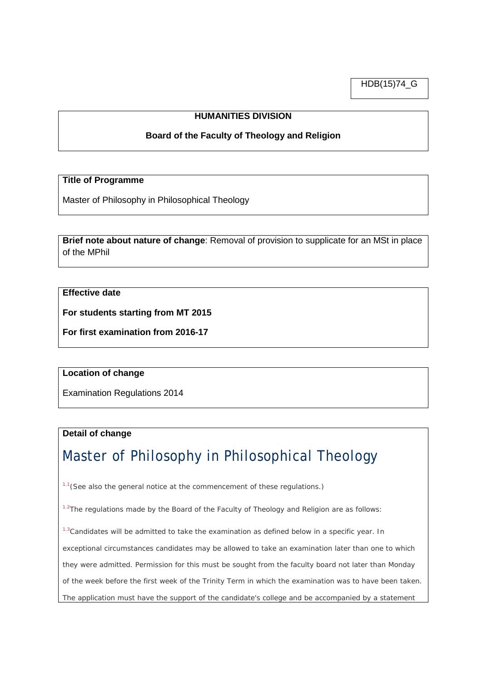HDB(15)74\_G

# **HUMANITIES DIVISION**

## **Board of the Faculty of Theology and Religion**

#### **Title of Programme**

Master of Philosophy in Philosophical Theology

**Brief note about nature of change**: Removal of provision to supplicate for an MSt in place of the MPhil

## **Effective date**

**For students starting from MT 2015**

**For first examination from 2016-17**

#### **Location of change**

Examination Regulations 2014

## **Detail of change**

# Master of Philosophy in Philosophical Theology

1.1(*See also the general notice at the commencement of these regulations.*)

 $1.2$ The regulations made by the Board of the Faculty of Theology and Religion are as follows:

 $1.3$ Candidates will be admitted to take the examination as defined below in a specific year. In

exceptional circumstances candidates may be allowed to take an examination later than one to which

they were admitted. Permission for this must be sought from the faculty board not later than Monday

of the week before the first week of the Trinity Term in which the examination was to have been taken.

The application must have the support of the candidate's college and be accompanied by a statement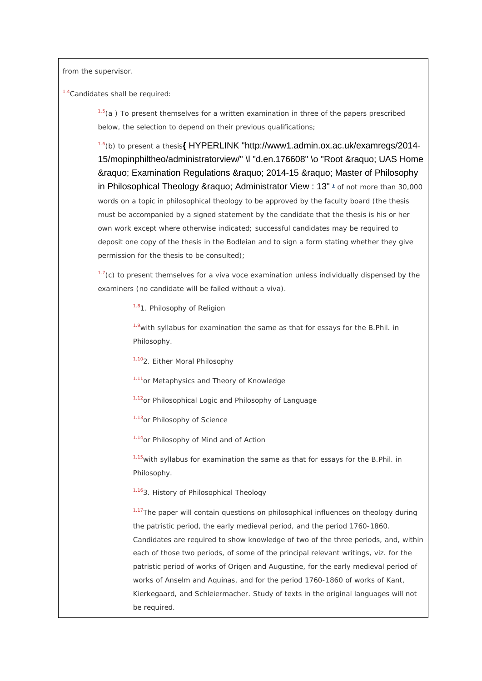from the supervisor.

1.4Candidates shall be required:

 $1.5(a)$  To present themselves for a written examination in three of the papers prescribed below, the selection to depend on their previous qualifications;

1.6(*b*) to present a thesis**{** [HYPERLINK "http://www1.admin.ox.ac.uk/examregs/2014-](http://www1.admin.ox.ac.uk/examregs/2014-15/mopinphiltheo/administratorview/%23d.en.176608) 15/mopinphiltheo/administratorview/" \l "d.en.176608" \o "Root » UAS Home &raguo; Examination Regulations &raguo; 2014-15 &raguo; Master of Philosophy in Philosophical Theology » Administrator View : 13"<sup>2</sup> of not more than 30,000 words on a topic in philosophical theology to be approved by the faculty board (the thesis must be accompanied by a signed statement by the candidate that the thesis is his or her own work except where otherwise indicated; successful candidates may be required to deposit one copy of the thesis in the Bodleian and to sign a form stating whether they give permission for the thesis to be consulted);

 $1.7(c)$  to present themselves for a viva voce examination unless individually dispensed by the examiners (no candidate will be failed without a viva).

1.81. *Philosophy of Religion*

 $1.9$ with syllabus for examination the same as that for essays for the B.Phil. in Philosophy.

1.102. *Either Moral Philosophy*

1.11*or Metaphysics and Theory of Knowledge*

1.12*or Philosophical Logic and Philosophy of Language*

1.13*or Philosophy of Science*

1.14*or Philosophy of Mind and of Action*

 $1.15$  with syllabus for examination the same as that for essays for the B.Phil. in Philosophy.

#### 1.163. *History of Philosophical Theology*

<sup>1.17</sup>The paper will contain questions on philosophical influences on theology during the patristic period, the early medieval period, and the period 1760-1860. Candidates are required to show knowledge of two of the three periods, and, within each of those two periods, of some of the principal relevant writings, viz. for the patristic period of works of Origen and Augustine, for the early medieval period of works of Anselm and Aquinas, and for the period 1760-1860 of works of Kant, Kierkegaard, and Schleiermacher. Study of texts in the original languages will not be required.